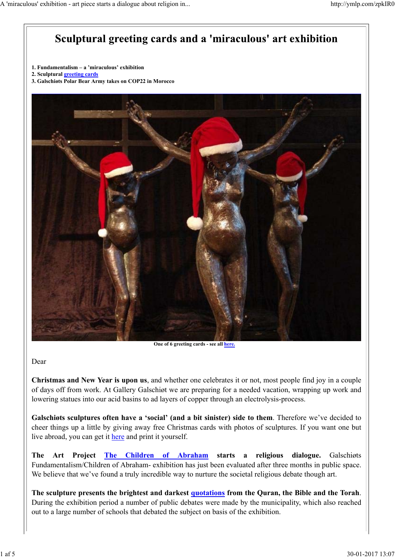# Sculptural greeting cards and a 'miraculous' art exhibition

- **1. Fundamentalism a 'miraculous' exhibition**
- **2. Sculptural greeting cards**
- **3. Galschiøts Polar Bear Army takes on COP22 in Morocco**



**One of 6 greeting cards - see all here.** 

Dear

**Christmas and New Year is upon us**, and whether one celebrates it or not, most people find joy in a couple of days off from work. At Gallery Galschiøt we are preparing for a needed vacation, wrapping up work and lowering statues into our acid basins to ad layers of copper through an electrolysis-process.

**Galschiøts sculptures often have a 'social' (and a bit sinister) side to them**. Therefore we've decided to cheer things up a little by giving away free Christmas cards with photos of sculptures. If you want one but live abroad, you can get it here and print it yourself.

**The Art Project The Children of Abraham starts a religious dialogue.** Galschiøts Fundamentalism/Children of Abraham- exhibition has just been evaluated after three months in public space. We believe that we've found a truly incredible way to nurture the societal religious debate though art.

**The sculpture presents the brightest and darkest quotations from the Quran, the Bible and the Torah**. During the exhibition period a number of public debates were made by the municipality, which also reached out to a large number of schools that debated the subject on basis of the exhibition.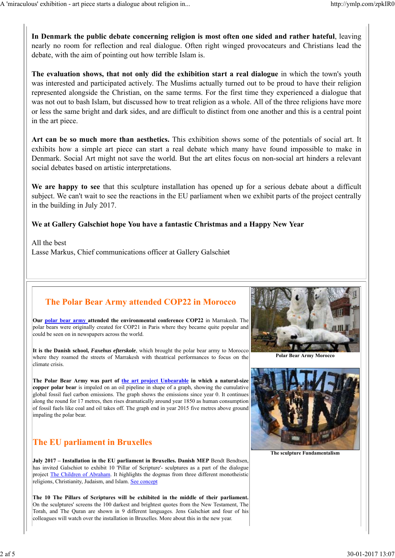**In Denmark the public debate concerning religion is most often one sided and rather hateful**, leaving nearly no room for reflection and real dialogue. Often right winged provocateurs and Christians lead the debate, with the aim of pointing out how terrible Islam is.

**The evaluation shows, that not only did the exhibition start a real dialogue** in which the town's youth was interested and participated actively. The Muslims actually turned out to be proud to have their religion represented alongside the Christian, on the same terms. For the first time they experienced a dialogue that was not out to bash Islam, but discussed how to treat religion as a whole. All of the three religions have more or less the same bright and dark sides, and are difficult to distinct from one another and this is a central point in the art piece.

**Art can be so much more than aesthetics.** This exhibition shows some of the potentials of social art. It exhibits how a simple art piece can start a real debate which many have found impossible to make in Denmark. Social Art might not save the world. But the art elites focus on non-social art hinders a relevant social debates based on artistic interpretations.

**We are happy to see** that this sculpture installation has opened up for a serious debate about a difficult subject. We can't wait to see the reactions in the EU parliament when we exhibit parts of the project centrally in the building in July 2017.

#### **We at Gallery Galschiøt hope You have a fantastic Christmas and a Happy New Year**

All the best Lasse Markus, Chief communications officer at Gallery Galschiøt

#### **The Polar Bear Army attended COP22 in Morocco**

**Our polar bear army attended the environmental conference COP22** in Marrakesh. The polar bears were originally created for COP21 in Paris where they became quite popular and could be seen on in newspapers across the world.

**It is the Danish school,** *Faxehus efterskole*, which brought the polar bear army to Morocco where they roamed the streets of Marrakesh with theatrical performances to focus on the climate crisis.

**The Polar Bear Army was part of the art project Unbearable in which a natural-size copper polar bear** is impaled on an oil pipeline in shape of a graph, showing the cumulative global fossil fuel carbon emissions. The graph shows the emissions since year 0. It continues along the round for 17 metres, then rises dramatically around year 1850 as human consumption of fossil fuels like coal and oil takes off. The graph end in year 2015 five metres above ground impaling the polar bear.

## **The EU parliament in Bruxelles**

**July 2017 – Installation in the EU parliament in Bruxelles. Danish MEP** Bendt Bendtsen, has invited Galschiot to exhibit 10 'Pillar of Scripture'- sculptures as a part of the dialogue project The Children of Abraham. It *h*ighlights the dogmas from three different monotheistic religions, Christianity, Judaism, and Islam. See concept

**The 10 The Pillars of Scriptures will be exhibited in the middle of their parliament.** On the sculptures' screens the 100 darkest and brightest quotes from the New Testament, The Torah, and The Quran are shown in 9 different languages. Jens Galschiøt and four of his colleagues will watch over the installation in Bruxelles. More about this in the new year.



**Polar Bear Army Morocco**



**The sculpture Fundamentalism**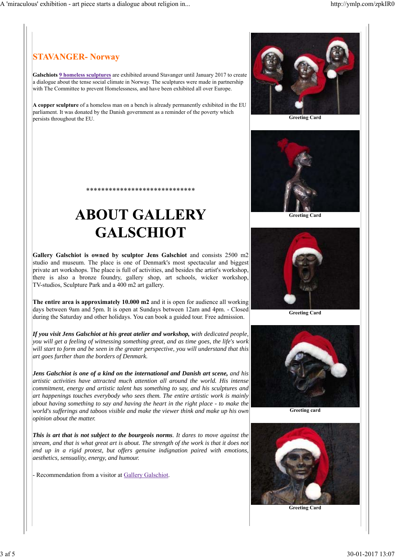## **STAVANGER- Norway**

**Galschiots 9 homeless sculptures** are exhibited around Stavanger until January 2017 to create a dialogue about the tense social climate in Norway. The sculptures were made in partnership with The Committee to prevent Homelessness, and have been exhibited all over Europe.

**A copper sculpture** of a homeless man on a bench is already permanently exhibited in the EU parliament. It was donated by the Danish government as a reminder of the poverty which persists throughout the EU.

# \*\*\*\*\*\*\*\*\*\*\*\*\*\*\*\*\*\*\*\*\*\*\*\*\*\*\*\*\* **ABOUT GALLERY GALSCHIOT**

**Gallery Galschiot is owned by sculptor Jens Galschiot** and consists 2500 m2 studio and museum. The place is one of Denmark's most spectacular and biggest private art workshops. The place is full of activities, and besides the artist's workshop, there is also a bronze foundry, gallery shop, art schools, wicker workshop, TV-studios, Sculpture Park and a 400 m2 art gallery.

**The entire area is approximately 10.000 m2** and it is open for audience all working days between 9am and 5pm. It is open at Sundays between 12am and 4pm. - Closed during the Saturday and other holidays. You can book a guided tour. Free admission.

*If you visit Jens Galschiot at his great atelier and workshop, with dedicated people, you will get a feeling of witnessing something great, and as time goes, the life's work will start to form and be seen in the greater perspective, you will understand that this art goes further than the borders of Denmark.*

*Jens Galschiot is one of a kind on the international and Danish art scene, and his artistic activities have attracted much attention all around the world. His intense commitment, energy and artistic talent has something to say, and his sculptures and art happenings touches everybody who sees them. The entire artistic work is mainly about having something to say and having the heart in the right place - to make the world's sufferings and taboos visible and make the viewer think and make up his own opinion about the matter.*

*This is art that is not subject to the bourgeois norms. It dares to move against the stream, and that is what great art is about. The strength of the work is that it does not end up in a rigid protest, but offers genuine indignation paired with emotions, aesthetics, sensuality, energy, and humour.*

Recommendation from a visitor at Gallery Galschiot.



**Greeting Card**



**Greeting Card**



**Greeting Card**





**Greeting Card**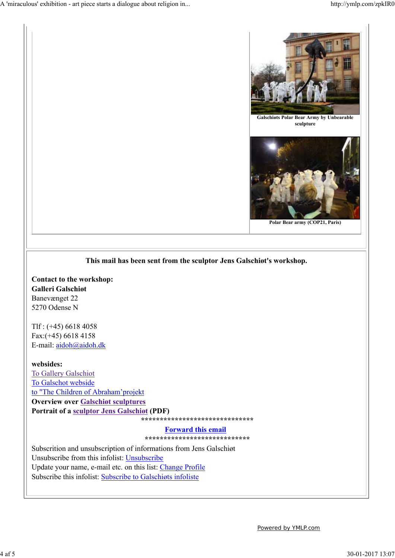

#### **This mail has been sent from the sculptor Jens Galschiøt's workshop.**

**Contact to the workshop: Galleri Galschiøt** Banevænget 22 5270 Odense N

Tlf : (+45) 6618 4058 Fax:(+45) 6618 4158 E-mail: aidoh@aidoh.dk

**websides:** To Gallery Galschiot To Galschot webside to "The Children of Abraham'projekt **Overview over Galschiøt sculptures Portrait of a sculptor Jens Galschiøt (PDF)**

 **\*\*\*\*\*\*\*\*\*\*\*\*\*\*\*\*\*\*\*\*\*\*\*\*\*\*\*\*\*\*** 

**Forward this email** 

 **\*\*\*\*\*\*\*\*\*\*\*\*\*\*\*\*\*\*\*\*\*\*\*\*\*\*\*\***

Subscrition and unsubscription of informations from Jens Galschiøt Unsubscribe from this infolist: Unsubscribe Update your name, e-mail etc. on this list: Change Profile Subscribe this infolist: Subscribe to Galschiøts infoliste